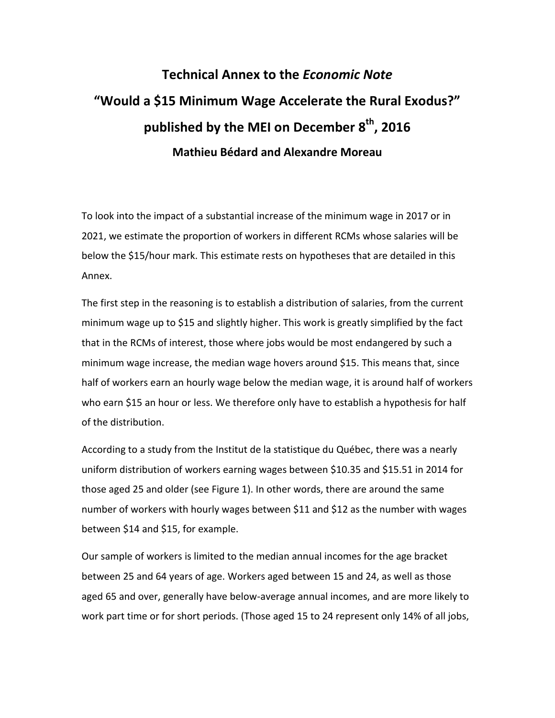## **Technical Annex to the** *Economic Note* **"Would a \$15 Minimum Wage Accelerate the Rural Exodus?" published by the MEI on December 8 th, 2016 Mathieu Bédard and Alexandre Moreau**

To look into the impact of a substantial increase of the minimum wage in 2017 or in 2021, we estimate the proportion of workers in different RCMs whose salaries will be below the \$15/hour mark. This estimate rests on hypotheses that are detailed in this Annex.

The first step in the reasoning is to establish a distribution of salaries, from the current minimum wage up to \$15 and slightly higher. This work is greatly simplified by the fact that in the RCMs of interest, those where jobs would be most endangered by such a minimum wage increase, the median wage hovers around \$15. This means that, since half of workers earn an hourly wage below the median wage, it is around half of workers who earn \$15 an hour or less. We therefore only have to establish a hypothesis for half of the distribution.

According to a study from the Institut de la statistique du Québec, there was a nearly uniform distribution of workers earning wages between \$10.35 and \$15.51 in 2014 for those aged 25 and older (see Figure 1). In other words, there are around the same number of workers with hourly wages between \$11 and \$12 as the number with wages between \$14 and \$15, for example.

Our sample of workers is limited to the median annual incomes for the age bracket between 25 and 64 years of age. Workers aged between 15 and 24, as well as those aged 65 and over, generally have below-average annual incomes, and are more likely to work part time or for short periods. (Those aged 15 to 24 represent only 14% of all jobs,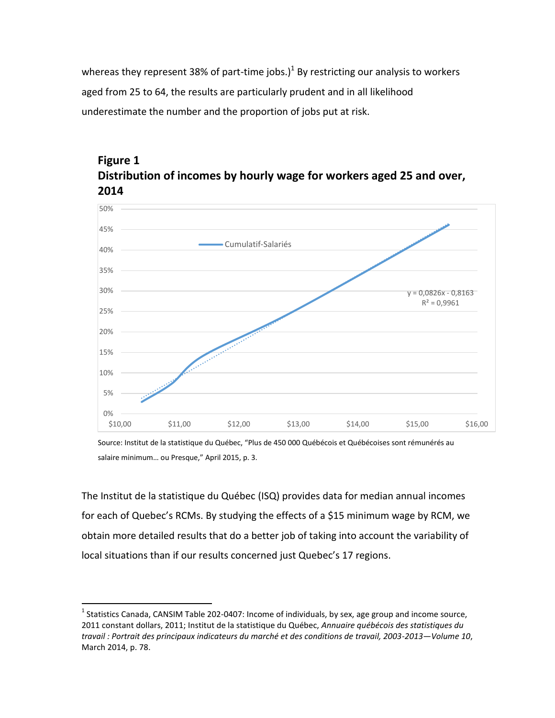whereas they represent 38% of part-time jobs.)<sup>1</sup> By restricting our analysis to workers aged from 25 to 64, the results are particularly prudent and in all likelihood underestimate the number and the proportion of jobs put at risk.



## **Figure 1 Distribution of incomes by hourly wage for workers aged 25 and over, 2014**

Source: Institut de la statistique du Québec, "Plus de 450 000 Québécois et Québécoises sont rémunérés au salaire minimum… ou Presque," April 2015, p. 3.

The Institut de la statistique du Québec (ISQ) provides data for median annual incomes for each of Quebec's RCMs. By studying the effects of a \$15 minimum wage by RCM, we obtain more detailed results that do a better job of taking into account the variability of local situations than if our results concerned just Quebec's 17 regions.

 $\overline{a}$ 

<sup>&</sup>lt;sup>1</sup> Statistics Canada, CANSIM Table 202-0407: Income of individuals, by sex, age group and income source, 2011 constant dollars, 2011; Institut de la statistique du Québec, *Annuaire québécois des statistiques du travail : Portrait des principaux indicateurs du marché et des conditions de travail, 2003-2013—Volume 10*, March 2014, p. 78.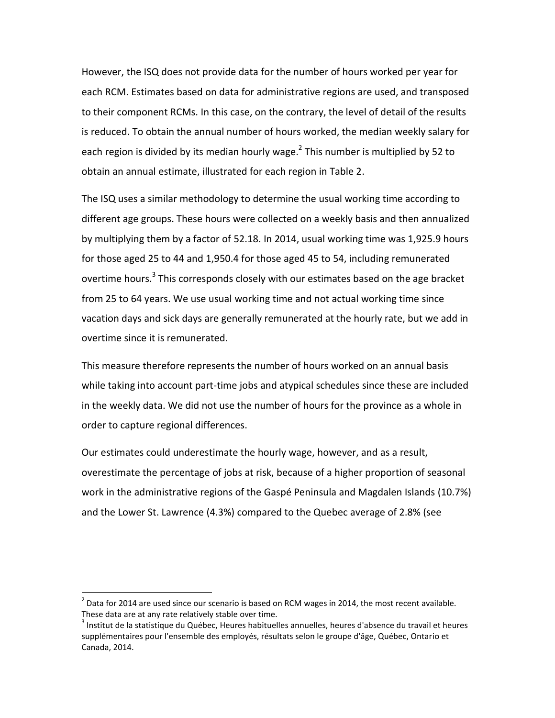However, the ISQ does not provide data for the number of hours worked per year for each RCM. Estimates based on data for administrative regions are used, and transposed to their component RCMs. In this case, on the contrary, the level of detail of the results is reduced. To obtain the annual number of hours worked, the median weekly salary for each region is divided by its median hourly wage. $^2$  This number is multiplied by 52 to obtain an annual estimate, illustrated for each region in Table 2.

The ISQ uses a similar methodology to determine the usual working time according to different age groups. These hours were collected on a weekly basis and then annualized by multiplying them by a factor of 52.18. In 2014, usual working time was 1,925.9 hours for those aged 25 to 44 and 1,950.4 for those aged 45 to 54, including remunerated overtime hours.<sup>3</sup> This corresponds closely with our estimates based on the age bracket from 25 to 64 years. We use usual working time and not actual working time since vacation days and sick days are generally remunerated at the hourly rate, but we add in overtime since it is remunerated.

This measure therefore represents the number of hours worked on an annual basis while taking into account part-time jobs and atypical schedules since these are included in the weekly data. We did not use the number of hours for the province as a whole in order to capture regional differences.

Our estimates could underestimate the hourly wage, however, and as a result, overestimate the percentage of jobs at risk, because of a higher proportion of seasonal work in the administrative regions of the Gaspé Peninsula and Magdalen Islands (10.7%) and the Lower St. Lawrence (4.3%) compared to the Quebec average of 2.8% (see

l

 $^{2}$  Data for 2014 are used since our scenario is based on RCM wages in 2014, the most recent available. These data are at any rate relatively stable over time.

<sup>&</sup>lt;sup>3</sup> Institut de la statistique du Québec, Heures habituelles annuelles, heures d'absence du travail et heures supplémentaires pour l'ensemble des employés, résultats selon le groupe d'âge, Québec, Ontario et Canada, 2014.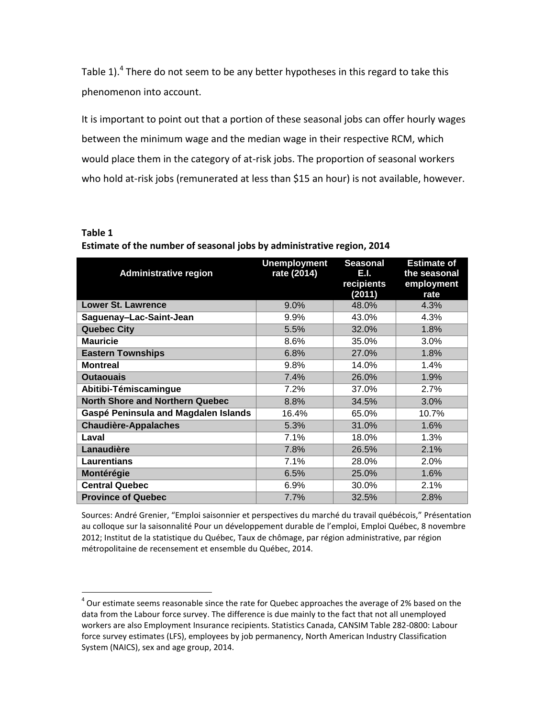Table 1).<sup>4</sup> There do not seem to be any better hypotheses in this regard to take this phenomenon into account.

It is important to point out that a portion of these seasonal jobs can offer hourly wages between the minimum wage and the median wage in their respective RCM, which would place them in the category of at-risk jobs. The proportion of seasonal workers who hold at-risk jobs (remunerated at less than \$15 an hour) is not available, however.

**Table 1**

l

| <b>Administrative region</b>           | <b>Unemployment</b><br>rate (2014) | <b>Seasonal</b><br>E.I.<br>recipients<br>(2011) | <b>Estimate of</b><br>the seasonal<br>employment<br>rate |
|----------------------------------------|------------------------------------|-------------------------------------------------|----------------------------------------------------------|
| <b>Lower St. Lawrence</b>              | 9.0%                               | 48.0%                                           | 4.3%                                                     |
| Saguenay-Lac-Saint-Jean                | 9.9%                               | 43.0%                                           | 4.3%                                                     |
| <b>Quebec City</b>                     | 5.5%                               | 32.0%                                           | 1.8%                                                     |
| <b>Mauricie</b>                        | 8.6%                               | 35.0%                                           | 3.0%                                                     |
| <b>Eastern Townships</b>               | 6.8%                               | 27.0%                                           | 1.8%                                                     |
| <b>Montreal</b>                        | 9.8%                               | 14.0%                                           | 1.4%                                                     |
| <b>Outaouais</b>                       | 7.4%                               | 26.0%                                           | 1.9%                                                     |
| Abitibi-Témiscamingue                  | 7.2%                               | 37.0%                                           | 2.7%                                                     |
| <b>North Shore and Northern Quebec</b> | 8.8%                               | 34.5%                                           | 3.0%                                                     |
| Gaspé Peninsula and Magdalen Islands   | 16.4%                              | 65.0%                                           | 10.7%                                                    |
| <b>Chaudière-Appalaches</b>            | 5.3%                               | 31.0%                                           | 1.6%                                                     |
| Laval                                  | 7.1%                               | 18.0%                                           | 1.3%                                                     |
| Lanaudière                             | 7.8%                               | 26.5%                                           | 2.1%                                                     |
| <b>Laurentians</b>                     | 7.1%                               | 28.0%                                           | 2.0%                                                     |
| Montérégie                             | 6.5%                               | 25.0%                                           | 1.6%                                                     |
| <b>Central Quebec</b>                  | 6.9%                               | 30.0%                                           | 2.1%                                                     |
| <b>Province of Quebec</b>              | 7.7%                               | 32.5%                                           | 2.8%                                                     |

**Estimate of the number of seasonal jobs by administrative region, 2014**

Sources: André Grenier, "Emploi saisonnier et perspectives du marché du travail québécois," Présentation au colloque sur la saisonnalité Pour un développement durable de l'emploi, Emploi Québec, 8 novembre 2012; Institut de la statistique du Québec, Taux de chômage, par région administrative, par région métropolitaine de recensement et ensemble du Québec, 2014.

 $^{4}$  Our estimate seems reasonable since the rate for Quebec approaches the average of 2% based on the data from the Labour force survey. The difference is due mainly to the fact that not all unemployed workers are also Employment Insurance recipients. Statistics Canada, CANSIM Table 282-0800: Labour force survey estimates (LFS), employees by job permanency, North American Industry Classification System (NAICS), sex and age group, 2014.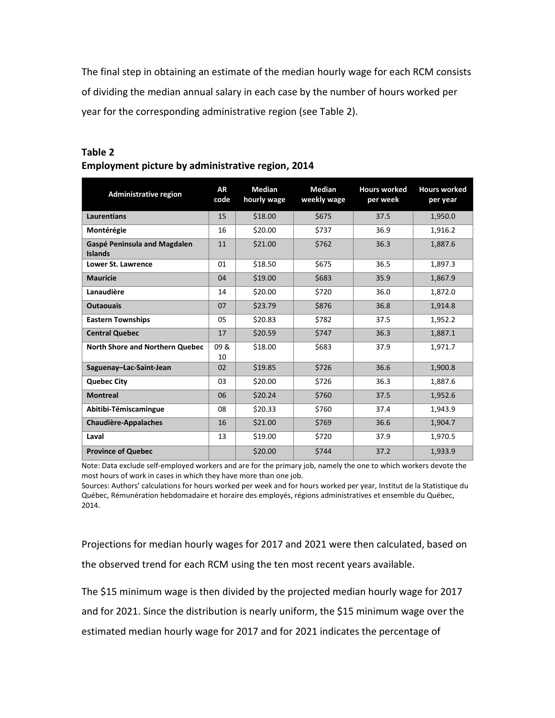The final step in obtaining an estimate of the median hourly wage for each RCM consists of dividing the median annual salary in each case by the number of hours worked per year for the corresponding administrative region (see Table 2).

| <b>Administrative region</b>                          | <b>AR</b><br>code | <b>Median</b><br>hourly wage | <b>Median</b><br>weekly wage | <b>Hours worked</b><br>per week | <b>Hours worked</b><br>per year |
|-------------------------------------------------------|-------------------|------------------------------|------------------------------|---------------------------------|---------------------------------|
| Laurentians                                           | 15                | \$18.00                      | \$675                        | 37.5                            | 1,950.0                         |
| Montérégie                                            | 16                | \$20.00                      | \$737                        | 36.9                            | 1,916.2                         |
| <b>Gaspé Peninsula and Magdalen</b><br><b>Islands</b> | 11                | \$21.00                      | \$762                        | 36.3                            | 1,887.6                         |
| Lower St. Lawrence                                    | 01                | \$18.50                      | \$675                        | 36.5                            | 1,897.3                         |
| <b>Mauricie</b>                                       | 04                | \$19.00                      | \$683                        | 35.9                            | 1,867.9                         |
| Lanaudière                                            | 14                | \$20.00                      | \$720                        | 36.0                            | 1,872.0                         |
| <b>Outaouais</b>                                      | 07                | \$23.79                      | \$876                        | 36.8                            | 1,914.8                         |
| <b>Eastern Townships</b>                              | 05                | \$20.83                      | \$782                        | 37.5                            | 1,952.2                         |
| <b>Central Quebec</b>                                 | 17                | \$20.59                      | \$747                        | 36.3                            | 1,887.1                         |
| <b>North Shore and Northern Quebec</b>                | 09 &<br>10        | \$18.00                      | \$683                        | 37.9                            | 1,971.7                         |
| Saguenay-Lac-Saint-Jean                               | 02                | \$19.85                      | \$726                        | 36.6                            | 1,900.8                         |
| <b>Quebec City</b>                                    | 03                | \$20.00                      | \$726                        | 36.3                            | 1,887.6                         |
| <b>Montreal</b>                                       | 06                | \$20.24                      | \$760                        | 37.5                            | 1,952.6                         |
| Abitibi-Témiscamingue                                 | 08                | \$20.33                      | \$760                        | 37.4                            | 1,943.9                         |
| <b>Chaudière-Appalaches</b>                           | 16                | \$21.00                      | \$769                        | 36.6                            | 1,904.7                         |
| Laval                                                 | 13                | \$19.00                      | \$720                        | 37.9                            | 1,970.5                         |
| <b>Province of Quebec</b>                             |                   | \$20.00                      | \$744                        | 37.2                            | 1,933.9                         |

## **Table 2 Employment picture by administrative region, 2014**

Note: Data exclude self-employed workers and are for the primary job, namely the one to which workers devote the most hours of work in cases in which they have more than one job.

Sources: Authors' calculations for hours worked per week and for hours worked per year, Institut de la Statistique du Québec, Rémunération hebdomadaire et horaire des employés, régions administratives et ensemble du Québec, 2014.

Projections for median hourly wages for 2017 and 2021 were then calculated, based on the observed trend for each RCM using the ten most recent years available.

The \$15 minimum wage is then divided by the projected median hourly wage for 2017 and for 2021. Since the distribution is nearly uniform, the \$15 minimum wage over the estimated median hourly wage for 2017 and for 2021 indicates the percentage of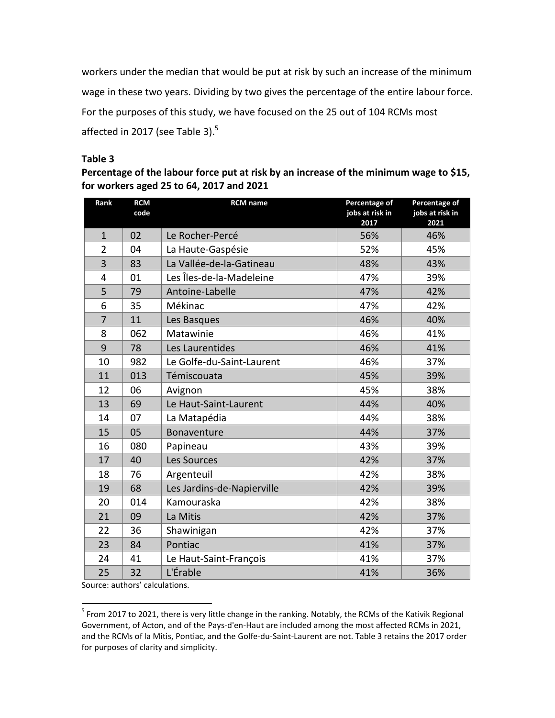workers under the median that would be put at risk by such an increase of the minimum wage in these two years. Dividing by two gives the percentage of the entire labour force. For the purposes of this study, we have focused on the 25 out of 104 RCMs most affected in 2017 (see Table 3).

## **Table 3**

**Percentage of the labour force put at risk by an increase of the minimum wage to \$15, for workers aged 25 to 64, 2017 and 2021**

| Rank           | <b>RCM</b><br>code | <b>RCM</b> name            | Percentage of<br>jobs at risk in<br>2017 | Percentage of<br>jobs at risk in<br>2021 |
|----------------|--------------------|----------------------------|------------------------------------------|------------------------------------------|
| $\mathbf{1}$   | 02                 | Le Rocher-Percé            | 56%                                      | 46%                                      |
| $\overline{2}$ | 04                 | La Haute-Gaspésie          | 52%                                      | 45%                                      |
| 3              | 83                 | La Vallée-de-la-Gatineau   | 48%                                      | 43%                                      |
| $\overline{4}$ | 01                 | Les Îles-de-la-Madeleine   | 47%                                      | 39%                                      |
| 5              | 79                 | Antoine-Labelle            | 47%                                      | 42%                                      |
| 6              | 35                 | Mékinac                    | 47%                                      | 42%                                      |
| $\overline{7}$ | 11                 | Les Basques                | 46%                                      | 40%                                      |
| 8              | 062                | Matawinie                  | 46%                                      | 41%                                      |
| 9              | 78                 | Les Laurentides            | 46%                                      | 41%                                      |
| 10             | 982                | Le Golfe-du-Saint-Laurent  | 46%                                      | 37%                                      |
| 11             | 013                | Témiscouata                | 45%                                      | 39%                                      |
| 12             | 06                 | Avignon                    | 45%                                      | 38%                                      |
| 13             | 69                 | Le Haut-Saint-Laurent      | 44%                                      | 40%                                      |
| 14             | 07                 | La Matapédia               | 44%                                      | 38%                                      |
| 15             | 05                 | Bonaventure                | 44%                                      | 37%                                      |
| 16             | 080                | Papineau                   | 43%                                      | 39%                                      |
| 17             | 40                 | Les Sources                | 42%                                      | 37%                                      |
| 18             | 76                 | Argenteuil                 | 42%                                      | 38%                                      |
| 19             | 68                 | Les Jardins-de-Napierville | 42%                                      | 39%                                      |
| 20             | 014                | Kamouraska                 | 42%                                      | 38%                                      |
| 21             | 09                 | La Mitis                   | 42%                                      | 37%                                      |
| 22             | 36                 | Shawinigan                 | 42%                                      | 37%                                      |
| 23             | 84                 | Pontiac                    | 41%                                      | 37%                                      |
| 24             | 41                 | Le Haut-Saint-François     | 41%                                      | 37%                                      |
| 25             | 32                 | L'Érable                   | 41%                                      | 36%                                      |

Source: authors' calculations.

 5 From 2017 to 2021, there is very little change in the ranking. Notably, the RCMs of the Kativik Regional Government, of Acton, and of the Pays-d'en-Haut are included among the most affected RCMs in 2021, and the RCMs of la Mitis, Pontiac, and the Golfe-du-Saint-Laurent are not. Table 3 retains the 2017 order for purposes of clarity and simplicity.